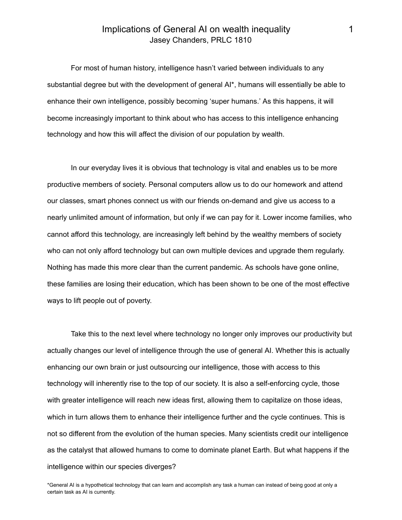## Implications of General AI on wealth inequality 1 Jasey Chanders, PRLC 1810

For most of human history, intelligence hasn't varied between individuals to any substantial degree but with the development of general AI\*, humans will essentially be able to enhance their own intelligence, possibly becoming 'super humans.' As this happens, it will become increasingly important to think about who has access to this intelligence enhancing technology and how this will affect the division of our population by wealth.

In our everyday lives it is obvious that technology is vital and enables us to be more productive members of society. Personal computers allow us to do our homework and attend our classes, smart phones connect us with our friends on-demand and give us access to a nearly unlimited amount of information, but only if we can pay for it. Lower income families, who cannot afford this technology, are increasingly left behind by the wealthy members of society who can not only afford technology but can own multiple devices and upgrade them regularly. Nothing has made this more clear than the current pandemic. As schools have gone online, these families are losing their education, which has been shown to be one of the most effective ways to lift people out of poverty.

Take this to the next level where technology no longer only improves our productivity but actually changes our level of intelligence through the use of general AI. Whether this is actually enhancing our own brain or just outsourcing our intelligence, those with access to this technology will inherently rise to the top of our society. It is also a self-enforcing cycle, those with greater intelligence will reach new ideas first, allowing them to capitalize on those ideas, which in turn allows them to enhance their intelligence further and the cycle continues. This is not so different from the evolution of the human species. Many scientists credit our intelligence as the catalyst that allowed humans to come to dominate planet Earth. But what happens if the intelligence within our species diverges?

\*General AI is a hypothetical technology that can learn and accomplish any task a human can instead of being good at only a certain task as AI is currently.